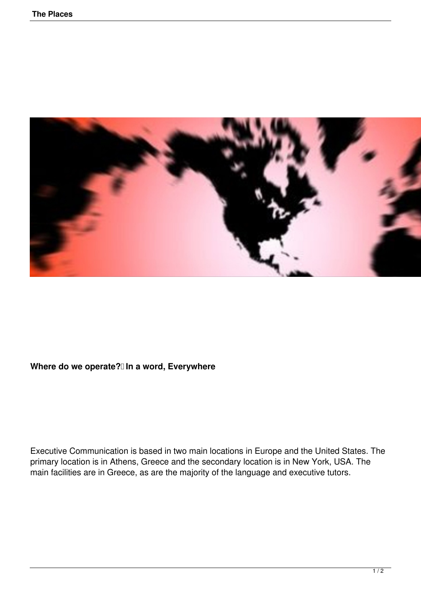

## Where do we operate?<sup>[]</sup> In a word, Everywhere

Executive Communication is based in two main locations in Europe and the United States. The primary location is in Athens, Greece and the secondary location is in New York, USA. The main facilities are in Greece, as are the majority of the language and executive tutors.